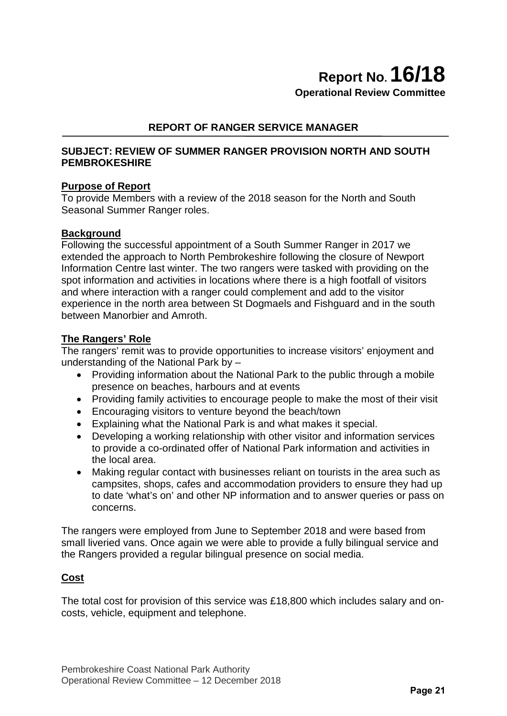**Operational Review Committee**

# **REPORT OF RANGER SERVICE MANAGER**

### **SUBJECT: REVIEW OF SUMMER RANGER PROVISION NORTH AND SOUTH PEMBROKESHIRE**

### **Purpose of Report**

To provide Members with a review of the 2018 season for the North and South Seasonal Summer Ranger roles.

### **Background**

Following the successful appointment of a South Summer Ranger in 2017 we extended the approach to North Pembrokeshire following the closure of Newport Information Centre last winter. The two rangers were tasked with providing on the spot information and activities in locations where there is a high footfall of visitors and where interaction with a ranger could complement and add to the visitor experience in the north area between St Dogmaels and Fishguard and in the south between Manorbier and Amroth.

### **The Rangers' Role**

The rangers' remit was to provide opportunities to increase visitors' enjoyment and understanding of the National Park by –

- Providing information about the National Park to the public through a mobile presence on beaches, harbours and at events
- Providing family activities to encourage people to make the most of their visit
- Encouraging visitors to venture beyond the beach/town
- Explaining what the National Park is and what makes it special.
- Developing a working relationship with other visitor and information services to provide a co-ordinated offer of National Park information and activities in the local area.
- Making regular contact with businesses reliant on tourists in the area such as campsites, shops, cafes and accommodation providers to ensure they had up to date 'what's on' and other NP information and to answer queries or pass on concerns.

The rangers were employed from June to September 2018 and were based from small liveried vans. Once again we were able to provide a fully bilingual service and the Rangers provided a regular bilingual presence on social media.

### **Cost**

The total cost for provision of this service was £18,800 which includes salary and oncosts, vehicle, equipment and telephone.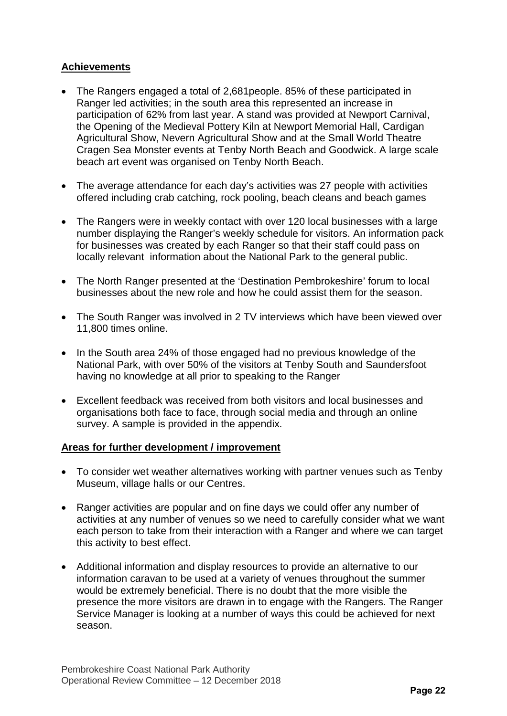# **Achievements**

- The Rangers engaged a total of 2,681 people. 85% of these participated in Ranger led activities; in the south area this represented an increase in participation of 62% from last year. A stand was provided at Newport Carnival, the Opening of the Medieval Pottery Kiln at Newport Memorial Hall, Cardigan Agricultural Show, Nevern Agricultural Show and at the Small World Theatre Cragen Sea Monster events at Tenby North Beach and Goodwick. A large scale beach art event was organised on Tenby North Beach.
- The average attendance for each day's activities was 27 people with activities offered including crab catching, rock pooling, beach cleans and beach games
- The Rangers were in weekly contact with over 120 local businesses with a large number displaying the Ranger's weekly schedule for visitors. An information pack for businesses was created by each Ranger so that their staff could pass on locally relevant information about the National Park to the general public.
- The North Ranger presented at the 'Destination Pembrokeshire' forum to local businesses about the new role and how he could assist them for the season.
- The South Ranger was involved in 2 TV interviews which have been viewed over 11,800 times online.
- In the South area 24% of those engaged had no previous knowledge of the National Park, with over 50% of the visitors at Tenby South and Saundersfoot having no knowledge at all prior to speaking to the Ranger
- Excellent feedback was received from both visitors and local businesses and organisations both face to face, through social media and through an online survey. A sample is provided in the appendix.

### **Areas for further development / improvement**

- To consider wet weather alternatives working with partner venues such as Tenby Museum, village halls or our Centres.
- Ranger activities are popular and on fine days we could offer any number of activities at any number of venues so we need to carefully consider what we want each person to take from their interaction with a Ranger and where we can target this activity to best effect.
- Additional information and display resources to provide an alternative to our information caravan to be used at a variety of venues throughout the summer would be extremely beneficial. There is no doubt that the more visible the presence the more visitors are drawn in to engage with the Rangers. The Ranger Service Manager is looking at a number of ways this could be achieved for next season.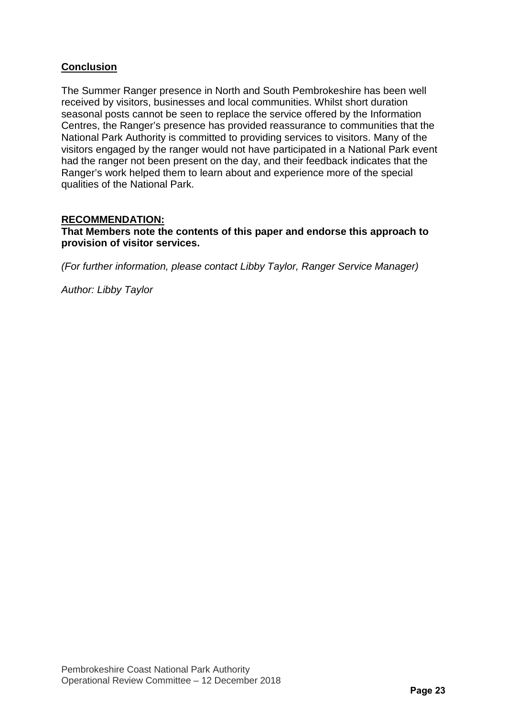# **Conclusion**

The Summer Ranger presence in North and South Pembrokeshire has been well received by visitors, businesses and local communities. Whilst short duration seasonal posts cannot be seen to replace the service offered by the Information Centres, the Ranger's presence has provided reassurance to communities that the National Park Authority is committed to providing services to visitors. Many of the visitors engaged by the ranger would not have participated in a National Park event had the ranger not been present on the day, and their feedback indicates that the Ranger's work helped them to learn about and experience more of the special qualities of the National Park.

# **RECOMMENDATION:**

**That Members note the contents of this paper and endorse this approach to provision of visitor services.**

*(For further information, please contact Libby Taylor, Ranger Service Manager)* 

*Author: Libby Taylor*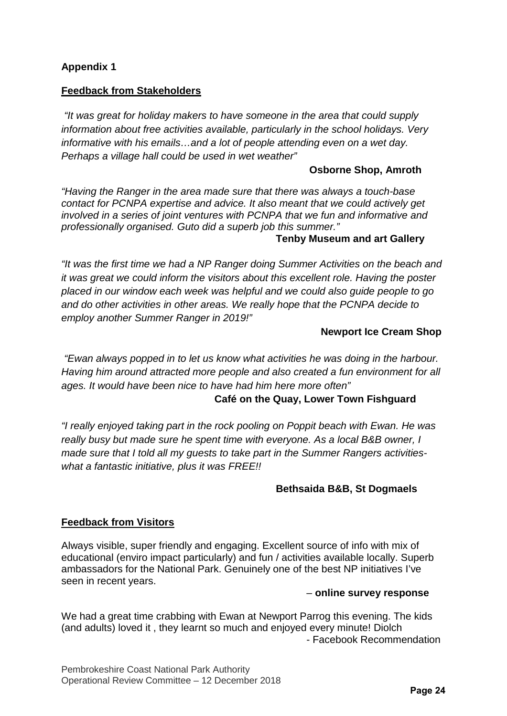# **Appendix 1**

### **Feedback from Stakeholders**

*"It was great for holiday makers to have someone in the area that could supply information about free activities available, particularly in the school holidays. Very informative with his emails…and a lot of people attending even on a wet day. Perhaps a village hall could be used in wet weather"* 

### **Osborne Shop, Amroth**

*"Having the Ranger in the area made sure that there was always a touch-base contact for PCNPA expertise and advice. It also meant that we could actively get involved in a series of joint ventures with PCNPA that we fun and informative and professionally organised. Guto did a superb job this summer."*

### **Tenby Museum and art Gallery**

*"It was the first time we had a NP Ranger doing Summer Activities on the beach and it was great we could inform the visitors about this excellent role. Having the poster placed in our window each week was helpful and we could also guide people to go and do other activities in other areas. We really hope that the PCNPA decide to employ another Summer Ranger in 2019!"* 

### **Newport Ice Cream Shop**

*"Ewan always popped in to let us know what activities he was doing in the harbour. Having him around attracted more people and also created a fun environment for all ages. It would have been nice to have had him here more often"*

### **Café on the Quay, Lower Town Fishguard**

*"I really enjoyed taking part in the rock pooling on Poppit beach with Ewan. He was really busy but made sure he spent time with everyone. As a local B&B owner, I made sure that I told all my guests to take part in the Summer Rangers activitieswhat a fantastic initiative, plus it was FREE!!* 

# **Bethsaida B&B, St Dogmaels**

### **Feedback from Visitors**

Always visible, super friendly and engaging. Excellent source of info with mix of educational (enviro impact particularly) and fun / activities available locally. Superb ambassadors for the National Park. Genuinely one of the best NP initiatives I've seen in recent years.

### – **online survey response**

We had a great time crabbing with Ewan at Newport Parrog this evening. The kids (and adults) loved it , they learnt so much and enjoyed every minute! Diolch - Facebook Recommendation